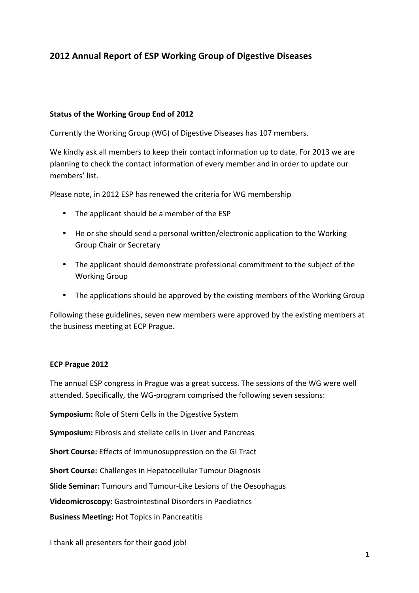# **2012 Annual Report of ESP Working Group of Digestive Diseases**

#### **Status of the Working Group End of 2012**

Currently the Working Group (WG) of Digestive Diseases has 107 members.

We kindly ask all members to keep their contact information up to date. For 2013 we are planning to check the contact information of every member and in order to update our members' list.

Please note, in 2012 ESP has renewed the criteria for WG membership

- The applicant should be a member of the ESP
- He or she should send a personal written/electronic application to the Working Group Chair or Secretary
- The applicant should demonstrate professional commitment to the subject of the Working Group
- The applications should be approved by the existing members of the Working Group

Following these guidelines, seven new members were approved by the existing members at the business meeting at ECP Prague.

#### **ECP Prague 2012**

The annual ESP congress in Prague was a great success. The sessions of the WG were well attended. Specifically, the WG-program comprised the following seven sessions:

**Symposium:** Role of Stem Cells in the Digestive System

**Symposium:** Fibrosis and stellate cells in Liver and Pancreas

**Short Course:** Effects of Immunosuppression on the GI Tract

**Short Course:** Challenges in Hepatocellular Tumour Diagnosis

**Slide Seminar:** Tumours and Tumour-Like Lesions of the Oesophagus

**Videomicroscopy:** Gastrointestinal Disorders in Paediatrics

**Business Meeting:** Hot Topics in Pancreatitis

I thank all presenters for their good job!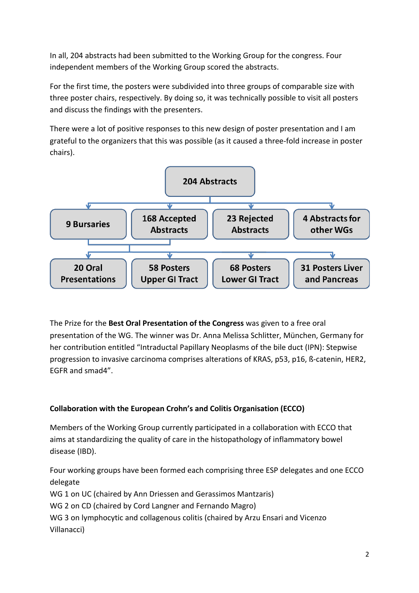In all, 204 abstracts had been submitted to the Working Group for the congress. Four independent members of the Working Group scored the abstracts.

For the first time, the posters were subdivided into three groups of comparable size with three poster chairs, respectively. By doing so, it was technically possible to visit all posters and discuss the findings with the presenters.

There were a lot of positive responses to this new design of poster presentation and I am grateful to the organizers that this was possible (as it caused a three-fold increase in poster chairs).



The Prize for the Best Oral Presentation of the Congress was given to a free oral presentation of the WG. The winner was Dr. Anna Melissa Schlitter, München, Germany for her contribution entitled "Intraductal Papillary Neoplasms of the bile duct (IPN): Stepwise progression to invasive carcinoma comprises alterations of KRAS, p53, p16, ß-catenin, HER2, EGFR and smad4".

## **Collaboration with the European Crohn's and Colitis Organisation (ECCO)**

Members of the Working Group currently participated in a collaboration with ECCO that aims at standardizing the quality of care in the histopathology of inflammatory bowel disease (IBD).

Four working groups have been formed each comprising three ESP delegates and one ECCO delegate WG 1 on UC (chaired by Ann Driessen and Gerassimos Mantzaris) WG 2 on CD (chaired by Cord Langner and Fernando Magro) WG 3 on lymphocytic and collagenous colitis (chaired by Arzu Ensari and Vicenzo Villanacci)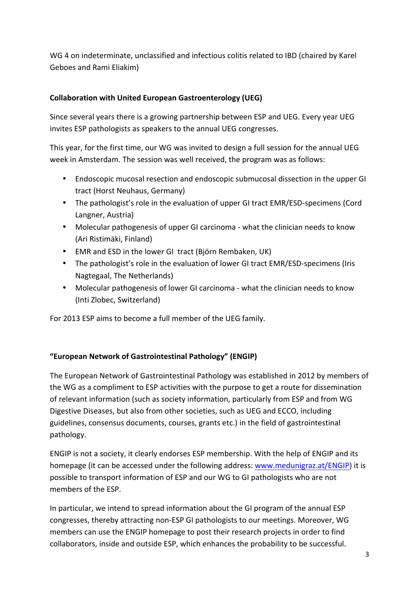WG 4 on indeterminate, unclassified and infectious colitis related to IBD (chaired by Karel Geboes and Rami Eliakim)

### **Collaboration with United European Gastroenterology (UEG)**

Since several years there is a growing partnership between ESP and UEG. Every year UEG invites ESP pathologists as speakers to the annual UEG congresses.

This year, for the first time, our WG was invited to design a full session for the annual UEG week in Amsterdam. The session was well received, the program was as follows:

- Endoscopic mucosal resection and endoscopic submucosal dissection in the upper GI tract (Horst Neuhaus, Germany)
- The pathologist's role in the evaluation of upper GI tract EMR/ESD-specimens (Cord Langner, Austria)
- Molecular pathogenesis of upper GI carcinoma what the clinician needs to know (Ari Ristimäki, Finland)
- EMR and ESD in the lower GI tract (Björn Rembaken, UK)
- The pathologist's role in the evaluation of lower GI tract EMR/ESD-specimens (Iris Nagtegaal, The Netherlands)
- Molecular pathogenesis of lower GI carcinoma what the clinician needs to know (Inti Zlobec, Switzerland)

For 2013 ESP aims to become a full member of the UEG family.

## **"European Network of Gastrointestinal Pathology" (ENGIP)**

The European Network of Gastrointestinal Pathology was established in 2012 by members of the WG as a compliment to ESP activities with the purpose to get a route for dissemination of relevant information (such as society information, particularly from ESP and from WG Digestive Diseases, but also from other societies, such as UEG and ECCO, including guidelines, consensus documents, courses, grants etc.) in the field of gastrointestinal pathology.

ENGIP is not a society, it clearly endorses ESP membership. With the help of ENGIP and its homepage (it can be accessed under the following address: www.medunigraz.at/ENGIP) it is possible to transport information of ESP and our WG to GI pathologists who are not members of the ESP.

In particular, we intend to spread information about the GI program of the annual ESP congresses, thereby attracting non-ESP GI pathologists to our meetings. Moreover, WG members can use the ENGIP homepage to post their research projects in order to find collaborators, inside and outside ESP, which enhances the probability to be successful.